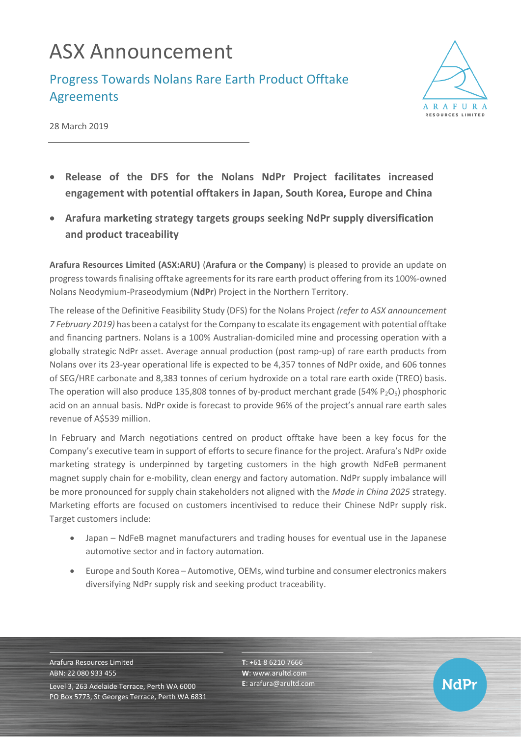## ASX Announcement

Progress Towards Nolans Rare Earth Product Offtake Agreements



**NdPr** 

28 March 2019

- **Release of the DFS for the Nolans NdPr Project facilitates increased engagement with potential offtakers in Japan, South Korea, Europe and China**
- **Arafura marketing strategy targets groups seeking NdPr supply diversification and product traceability**

**Arafura Resources Limited (ASX:ARU)** (**Arafura** or **the Company**) is pleased to provide an update on progress towards finalising offtake agreements for its rare earth product offering from its 100%-owned Nolans Neodymium-Praseodymium (**NdPr**) Project in the Northern Territory.

The release of the Definitive Feasibility Study (DFS) for the Nolans Project *(refer to ASX announcement 7 February 2019)* has been a catalyst for the Company to escalate its engagement with potential offtake and financing partners. Nolans is a 100% Australian-domiciled mine and processing operation with a globally strategic NdPr asset. Average annual production (post ramp-up) of rare earth products from Nolans over its 23-year operational life is expected to be 4,357 tonnes of NdPr oxide, and 606 tonnes of SEG/HRE carbonate and 8,383 tonnes of cerium hydroxide on a total rare earth oxide (TREO) basis. The operation will also produce 135,808 tonnes of by-product merchant grade (54% P<sub>2</sub>O<sub>5</sub>) phosphoric acid on an annual basis. NdPr oxide is forecast to provide 96% of the project's annual rare earth sales revenue of A\$539 million.

In February and March negotiations centred on product offtake have been a key focus for the Company's executive team in support of efforts to secure finance for the project. Arafura's NdPr oxide marketing strategy is underpinned by targeting customers in the high growth NdFeB permanent magnet supply chain for e-mobility, clean energy and factory automation. NdPr supply imbalance will be more pronounced for supply chain stakeholders not aligned with the *Made in China 2025* strategy. Marketing efforts are focused on customers incentivised to reduce their Chinese NdPr supply risk. Target customers include:

- Japan NdFeB magnet manufacturers and trading houses for eventual use in the Japanese automotive sector and in factory automation.
- Europe and South Korea Automotive, OEMs, wind turbine and consumer electronics makers diversifying NdPr supply risk and seeking product traceability.

Arafura Resources Limited ABN: 22 080 933 455 Level 3, 263 Adelaide Terrace, Perth WA 6000 PO Box 5773, St Georges Terrace, Perth WA 6831 **T**: +61 8 6210 7666 **W**: [www.arultd.com](http://www.arultd.com/) **E**[: arafura@arultd.com](mailto:arafura@arultd.com)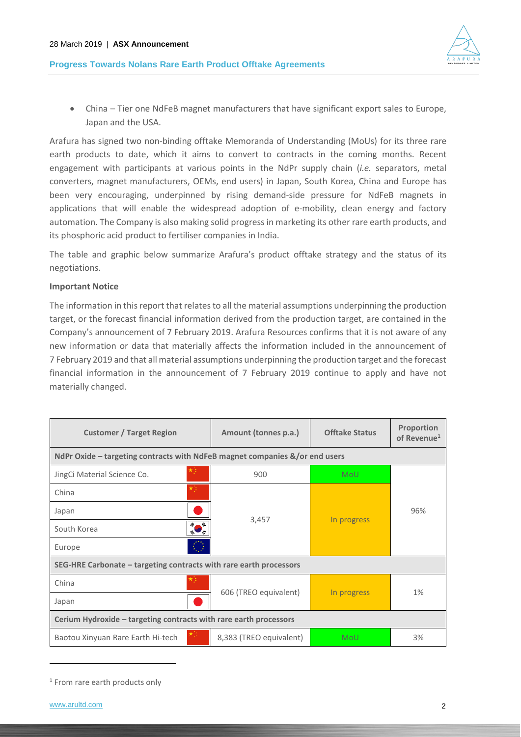



• China – Tier one NdFeB magnet manufacturers that have significant export sales to Europe, Japan and the USA.

Arafura has signed two non-binding offtake Memoranda of Understanding (MoUs) for its three rare earth products to date, which it aims to convert to contracts in the coming months. Recent engagement with participants at various points in the NdPr supply chain (*i.e.* separators, metal converters, magnet manufacturers, OEMs, end users) in Japan, South Korea, China and Europe has been very encouraging, underpinned by rising demand-side pressure for NdFeB magnets in applications that will enable the widespread adoption of e-mobility, clean energy and factory automation. The Company is also making solid progress in marketing its other rare earth products, and its phosphoric acid product to fertiliser companies in India.

The table and graphic below summarize Arafura's product offtake strategy and the status of its negotiations.

### **Important Notice**

The information in this report that relates to all the material assumptions underpinning the production target, or the forecast financial information derived from the production target, are contained in the Company's announcement of 7 February 2019. Arafura Resources confirms that it is not aware of any new information or data that materially affects the information included in the announcement of 7 February 2019 and that all material assumptions underpinning the production target and the forecast financial information in the announcement of 7 February 2019 continue to apply and have not materially changed.

| <b>Customer / Target Region</b>                                             | Amount (tonnes p.a.)    | <b>Offtake Status</b> | <b>Proportion</b><br>of Revenue <sup>1</sup> |
|-----------------------------------------------------------------------------|-------------------------|-----------------------|----------------------------------------------|
| NdPr Oxide – targeting contracts with NdFeB magnet companies &/or end users |                         |                       |                                              |
| JingCi Material Science Co.                                                 | 900                     | <b>MoU</b>            |                                              |
| China                                                                       | 3,457                   | In progress           | 96%                                          |
| Japan                                                                       |                         |                       |                                              |
| South Korea                                                                 |                         |                       |                                              |
| Europe                                                                      |                         |                       |                                              |
| SEG-HRE Carbonate – targeting contracts with rare earth processors          |                         |                       |                                              |
| China                                                                       |                         |                       |                                              |
| Japan                                                                       | 606 (TREO equivalent)   | In progress           | 1%                                           |
| Cerium Hydroxide - targeting contracts with rare earth processors           |                         |                       |                                              |
| Baotou Xinyuan Rare Earth Hi-tech                                           | 8,383 (TREO equivalent) | MoU                   | 3%                                           |

<sup>&</sup>lt;sup>1</sup> From rare earth products only

-